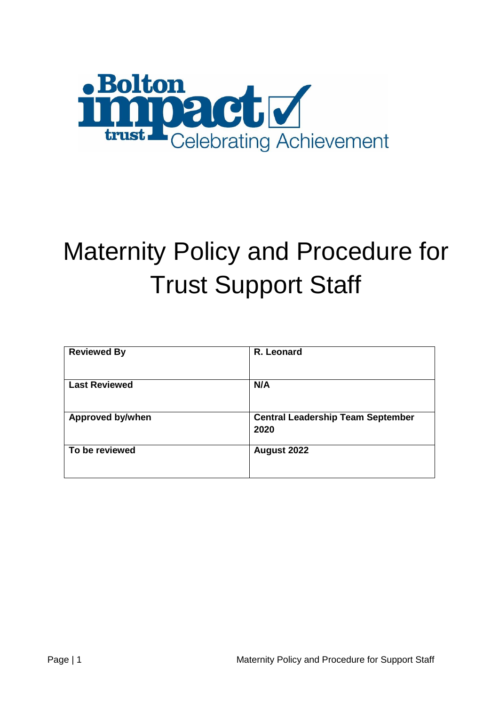

# Maternity Policy and Procedure for Trust Support Staff

| <b>Reviewed By</b>      | R. Leonard                                       |
|-------------------------|--------------------------------------------------|
| <b>Last Reviewed</b>    | N/A                                              |
| <b>Approved by/when</b> | <b>Central Leadership Team September</b><br>2020 |
| To be reviewed          | August 2022                                      |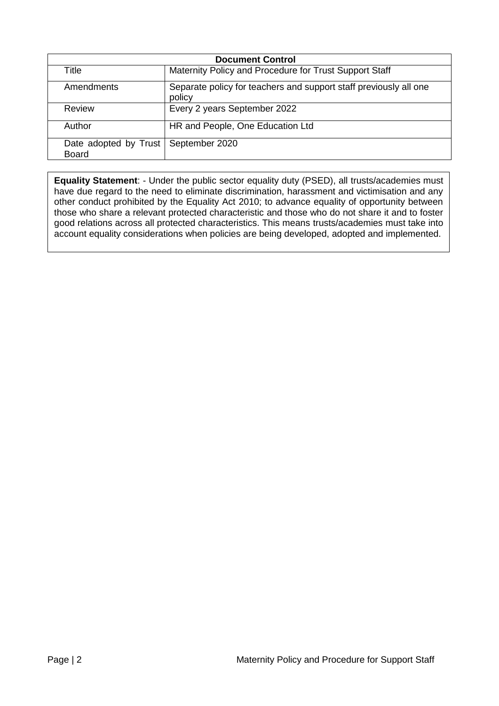| <b>Document Control</b>               |                                                                             |  |  |  |  |
|---------------------------------------|-----------------------------------------------------------------------------|--|--|--|--|
| Title                                 | Maternity Policy and Procedure for Trust Support Staff                      |  |  |  |  |
| Amendments                            | Separate policy for teachers and support staff previously all one<br>policy |  |  |  |  |
| Review                                | Every 2 years September 2022                                                |  |  |  |  |
| Author                                | HR and People, One Education Ltd                                            |  |  |  |  |
| Date adopted by Trust<br><b>Board</b> | September 2020                                                              |  |  |  |  |

**Equality Statement**: - Under the public sector equality duty (PSED), all trusts/academies must have due regard to the need to eliminate discrimination, harassment and victimisation and any other conduct prohibited by the Equality Act 2010; to advance equality of opportunity between those who share a relevant protected characteristic and those who do not share it and to foster good relations across all protected characteristics. This means trusts/academies must take into account equality considerations when policies are being developed, adopted and implemented.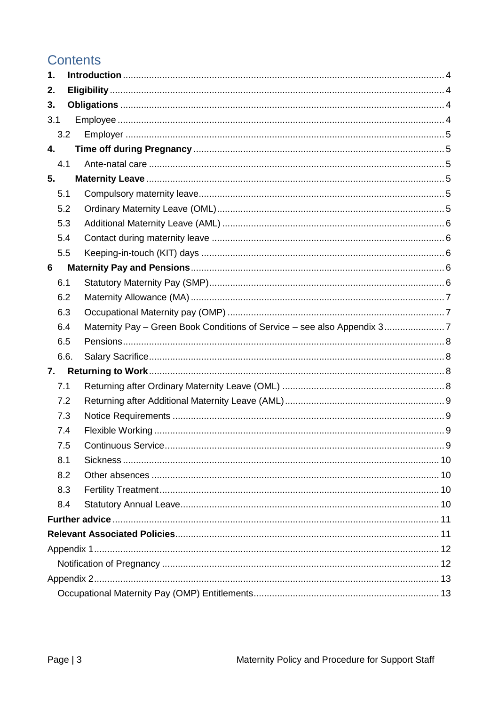# Contents

| $\mathbf 1$ . |  |  |  |  |
|---------------|--|--|--|--|
| 2.            |  |  |  |  |
| 3.            |  |  |  |  |
| 3.1           |  |  |  |  |
| 3.2           |  |  |  |  |
| 4.            |  |  |  |  |
| 4.1           |  |  |  |  |
| 5.            |  |  |  |  |
| 5.1           |  |  |  |  |
| 5.2           |  |  |  |  |
| 5.3           |  |  |  |  |
| 5.4           |  |  |  |  |
| 5.5           |  |  |  |  |
| 6             |  |  |  |  |
| 6.1           |  |  |  |  |
| 6.2           |  |  |  |  |
| 6.3           |  |  |  |  |
| 6.4           |  |  |  |  |
| 6.5           |  |  |  |  |
| 6.6.          |  |  |  |  |
| 7.            |  |  |  |  |
| 7.1           |  |  |  |  |
| 7.2           |  |  |  |  |
| 7.3           |  |  |  |  |
| 7.4           |  |  |  |  |
| 7.5           |  |  |  |  |
| 8.1           |  |  |  |  |
| 8.2           |  |  |  |  |
| 8.3           |  |  |  |  |
| 8.4           |  |  |  |  |
|               |  |  |  |  |
|               |  |  |  |  |
|               |  |  |  |  |
|               |  |  |  |  |
|               |  |  |  |  |
|               |  |  |  |  |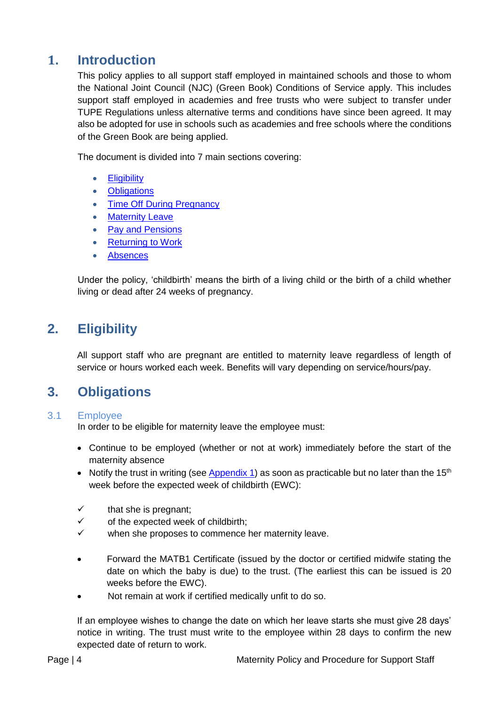## <span id="page-3-0"></span>**1. Introduction**

This policy applies to all support staff employed in maintained schools and those to whom the National Joint Council (NJC) (Green Book) Conditions of Service apply. This includes support staff employed in academies and free trusts who were subject to transfer under TUPE Regulations unless alternative terms and conditions have since been agreed. It may also be adopted for use in schools such as academies and free schools where the conditions of the Green Book are being applied.

The document is divided into 7 main sections covering:

- **•** [Eligibility](#page-3-4)
- [Obligations](#page-3-2)
- Time Off [During Pregnancy](#page-4-1)
- [Maternity Leave](#page-4-3)
- Pay and Pensions
- [Returning to Work](#page-7-2)
- <span id="page-3-4"></span>[Absences](#page-8-4)

Under the policy, 'childbirth' means the birth of a living child or the birth of a child whether living or dead after 24 weeks of pregnancy.

# <span id="page-3-1"></span>**2. Eligibility**

<span id="page-3-5"></span>All support staff who are pregnant are entitled to maternity leave regardless of length of service or hours worked each week. Benefits will vary depending on service/hours/pay.

## <span id="page-3-2"></span>**3. Obligations**

#### <span id="page-3-3"></span>3.1 Employee

In order to be eligible for maternity leave the employee must:

- Continue to be employed (whether or not at work) immediately before the start of the maternity absence
- Notify the trust in writing (see [Appendix 1\)](#page-11-0) as soon as practicable but no later than the 15<sup>th</sup> week before the expected week of childbirth (EWC):
- $\checkmark$  that she is pregnant:
- $\checkmark$  of the expected week of childbirth;
- $\checkmark$  when she proposes to commence her maternity leave.
- Forward the MATB1 Certificate (issued by the doctor or certified midwife stating the date on which the baby is due) to the trust. (The earliest this can be issued is 20 weeks before the EWC).
- Not remain at work if certified medically unfit to do so.

If an employee wishes to change the date on which her leave starts she must give 28 days' notice in writing. The trust must write to the employee within 28 days to confirm the new expected date of return to work.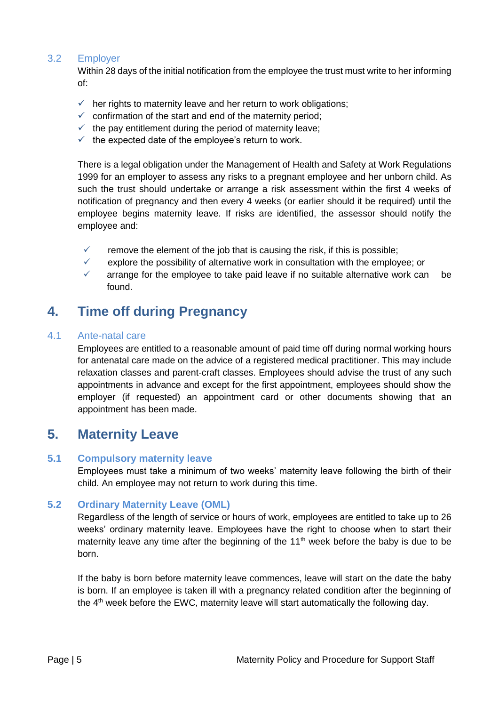#### <span id="page-4-0"></span>3.2 Employer

Within 28 days of the initial notification from the employee the trust must write to her informing of:

- $\checkmark$  her rights to maternity leave and her return to work obligations;
- $\checkmark$  confirmation of the start and end of the maternity period;
- $\checkmark$  the pay entitlement during the period of maternity leave;
- $\checkmark$  the expected date of the employee's return to work.

There is a legal obligation under the Management of Health and Safety at Work Regulations 1999 for an employer to assess any risks to a pregnant employee and her unborn child. As such the trust should undertake or arrange a risk assessment within the first 4 weeks of notification of pregnancy and then every 4 weeks (or earlier should it be required) until the employee begins maternity leave. If risks are identified, the assessor should notify the employee and:

- remove the element of the job that is causing the risk, if this is possible;
- $\checkmark$  explore the possibility of alternative work in consultation with the employee; or
- $\checkmark$  arrange for the employee to take paid leave if no suitable alternative work can be found.

# <span id="page-4-1"></span>**4. Time off during Pregnancy**

#### <span id="page-4-2"></span>4.1 Ante-natal care

Employees are entitled to a reasonable amount of paid time off during normal working hours for antenatal care made on the advice of a registered medical practitioner. This may include relaxation classes and parent-craft classes. Employees should advise the trust of any such appointments in advance and except for the first appointment, employees should show the employer (if requested) an appointment card or other documents showing that an appointment has been made.

## <span id="page-4-3"></span>**5. Maternity Leave**

#### <span id="page-4-4"></span>**5.1 Compulsory maternity leave**

Employees must take a minimum of two weeks' maternity leave following the birth of their child. An employee may not return to work during this time.

#### <span id="page-4-5"></span>**5.2 Ordinary Maternity Leave (OML)**

Regardless of the length of service or hours of work, employees are entitled to take up to 26 weeks' ordinary maternity leave. Employees have the right to choose when to start their maternity leave any time after the beginning of the  $11<sup>th</sup>$  week before the baby is due to be born.

If the baby is born before maternity leave commences, leave will start on the date the baby is born. If an employee is taken ill with a pregnancy related condition after the beginning of the 4<sup>th</sup> week before the EWC, maternity leave will start automatically the following day.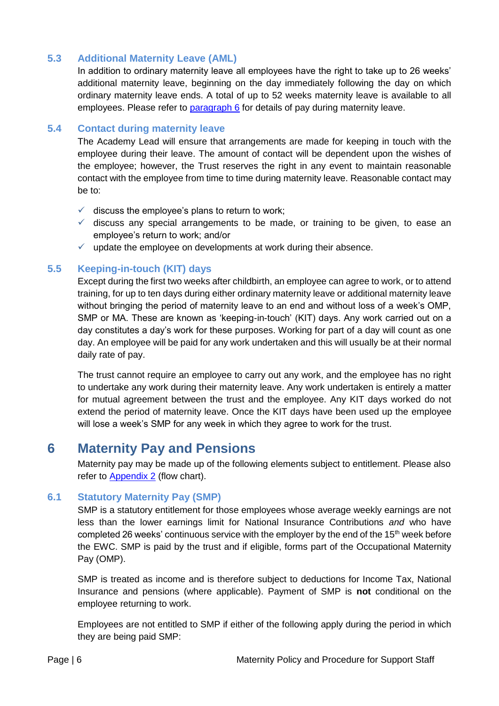#### <span id="page-5-0"></span>**5.3 Additional Maternity Leave (AML)**

In addition to ordinary maternity leave all employees have the right to take up to 26 weeks' additional maternity leave, beginning on the day immediately following the day on which ordinary maternity leave ends. A total of up to 52 weeks maternity leave is available to all employees. Please refer to [paragraph 6](#page-5-3) for details of pay during maternity leave.

#### <span id="page-5-1"></span>**5.4 Contact during maternity leave**

The Academy Lead will ensure that arrangements are made for keeping in touch with the employee during their leave. The amount of contact will be dependent upon the wishes of the employee; however, the Trust reserves the right in any event to maintain reasonable contact with the employee from time to time during maternity leave. Reasonable contact may be to:

- $\checkmark$  discuss the employee's plans to return to work:
- $\checkmark$  discuss any special arrangements to be made, or training to be given, to ease an employee's return to work; and/or
- $\checkmark$  update the employee on developments at work during their absence.

#### <span id="page-5-2"></span>**5.5 Keeping-in-touch (KIT) days**

Except during the first two weeks after childbirth, an employee can agree to work, or to attend training, for up to ten days during either ordinary maternity leave or additional maternity leave without bringing the period of maternity leave to an end and without loss of a week's OMP, SMP or MA. These are known as 'keeping-in-touch' (KIT) days. Any work carried out on a day constitutes a day's work for these purposes. Working for part of a day will count as one day. An employee will be paid for any work undertaken and this will usually be at their normal daily rate of pay.

The trust cannot require an employee to carry out any work, and the employee has no right to undertake any work during their maternity leave. Any work undertaken is entirely a matter for mutual agreement between the trust and the employee. Any KIT days worked do not extend the period of maternity leave. Once the KIT days have been used up the employee will lose a week's SMP for any week in which they agree to work for the trust.

## <span id="page-5-3"></span>**6 Maternity Pay and Pensions**

Maternity pay may be made up of the following elements subject to entitlement. Please also refer to **Appendix 2** (flow chart).

#### <span id="page-5-4"></span>**6.1 Statutory Maternity Pay (SMP)**

SMP is a statutory entitlement for those employees whose average weekly earnings are not less than the lower earnings limit for National Insurance Contributions *and* who have completed 26 weeks' continuous service with the employer by the end of the  $15<sup>th</sup>$  week before the EWC. SMP is paid by the trust and if eligible, forms part of the Occupational Maternity Pay (OMP).

SMP is treated as income and is therefore subject to deductions for Income Tax, National Insurance and pensions (where applicable). Payment of SMP is **not** conditional on the employee returning to work.

Employees are not entitled to SMP if either of the following apply during the period in which they are being paid SMP: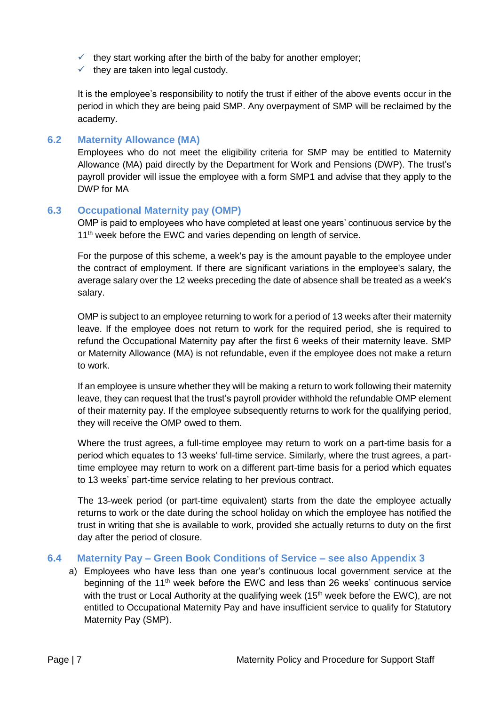- $\checkmark$  they start working after the birth of the baby for another employer;
- $\checkmark$  they are taken into legal custody.

It is the employee's responsibility to notify the trust if either of the above events occur in the period in which they are being paid SMP. Any overpayment of SMP will be reclaimed by the academy.

#### <span id="page-6-0"></span>**6.2 Maternity Allowance (MA)**

Employees who do not meet the eligibility criteria for SMP may be entitled to Maternity Allowance (MA) paid directly by the Department for Work and Pensions (DWP). The trust's payroll provider will issue the employee with a form SMP1 and advise that they apply to the DWP for MA

#### <span id="page-6-1"></span>**6.3 Occupational Maternity pay (OMP)**

OMP is paid to employees who have completed at least one years' continuous service by the 11<sup>th</sup> week before the EWC and varies depending on length of service.

For the purpose of this scheme, a week's pay is the amount payable to the employee under the contract of employment. If there are significant variations in the employee's salary, the average salary over the 12 weeks preceding the date of absence shall be treated as a week's salary.

OMP is subject to an employee returning to work for a period of 13 weeks after their maternity leave. If the employee does not return to work for the required period, she is required to refund the Occupational Maternity pay after the first 6 weeks of their maternity leave. SMP or Maternity Allowance (MA) is not refundable, even if the employee does not make a return to work.

If an employee is unsure whether they will be making a return to work following their maternity leave, they can request that the trust's payroll provider withhold the refundable OMP element of their maternity pay. If the employee subsequently returns to work for the qualifying period, they will receive the OMP owed to them.

Where the trust agrees, a full-time employee may return to work on a part-time basis for a period which equates to 13 weeks' full-time service. Similarly, where the trust agrees, a parttime employee may return to work on a different part-time basis for a period which equates to 13 weeks' part-time service relating to her previous contract.

The 13-week period (or part-time equivalent) starts from the date the employee actually returns to work or the date during the school holiday on which the employee has notified the trust in writing that she is available to work, provided she actually returns to duty on the first day after the period of closure.

#### <span id="page-6-2"></span>**6.4 Maternity Pay – Green Book Conditions of Service – see also Appendix 3**

a) Employees who have less than one year's continuous local government service at the beginning of the 11th week before the EWC and less than 26 weeks' continuous service with the trust or Local Authority at the qualifying week  $(15<sup>th</sup>$  week before the EWC), are not entitled to Occupational Maternity Pay and have insufficient service to qualify for Statutory Maternity Pay (SMP).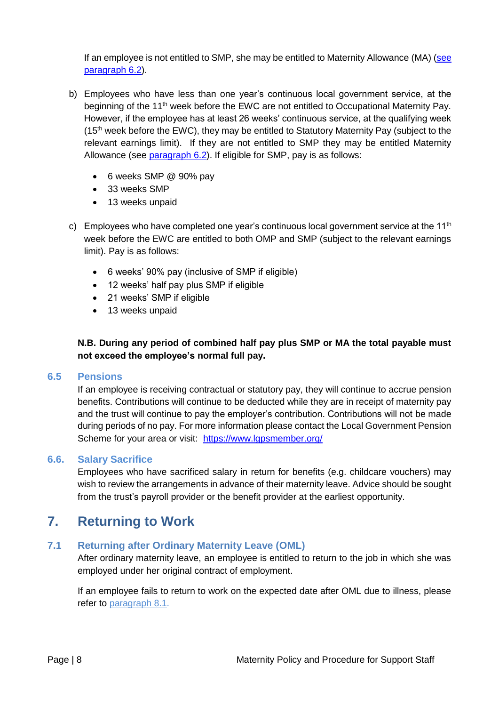If an employee is not entitled to SMP, she may be entitled to Maternity Allowance (MA) (see [paragraph 6.2\)](#page-6-0).

- b) Employees who have less than one year's continuous local government service, at the beginning of the 11<sup>th</sup> week before the EWC are not entitled to Occupational Maternity Pay. However, if the employee has at least 26 weeks' continuous service, at the qualifying week (15<sup>th</sup> week before the EWC), they may be entitled to Statutory Maternity Pay (subject to the relevant earnings limit). If they are not entitled to SMP they may be entitled Maternity Allowance (see [paragraph 6.2\)](#page-6-0). If eligible for SMP, pay is as follows:
	- 6 weeks SMP @ 90% pay
	- 33 weeks SMP
	- 13 weeks unpaid
- c) Employees who have completed one year's continuous local government service at the 11<sup>th</sup> week before the EWC are entitled to both OMP and SMP (subject to the relevant earnings limit). Pay is as follows:
	- 6 weeks' 90% pay (inclusive of SMP if eligible)
	- 12 weeks' half pay plus SMP if eligible
	- 21 weeks' SMP if eligible
	- 13 weeks unpaid

#### **N.B. During any period of combined half pay plus SMP or MA the total payable must not exceed the employee's normal full pay.**

#### <span id="page-7-0"></span>**6.5 Pensions**

If an employee is receiving contractual or statutory pay, they will continue to accrue pension benefits. Contributions will continue to be deducted while they are in receipt of maternity pay and the trust will continue to pay the employer's contribution. Contributions will not be made during periods of no pay. For more information please contact the Local Government Pension Scheme for your area or visit: <https://www.lgpsmember.org/>

#### <span id="page-7-1"></span>**6.6. Salary Sacrifice**

Employees who have sacrificed salary in return for benefits (e.g. childcare vouchers) may wish to review the arrangements in advance of their maternity leave. Advice should be sought from the trust's payroll provider or the benefit provider at the earliest opportunity.

# <span id="page-7-2"></span>**7. Returning to Work**

#### <span id="page-7-3"></span>**7.1 Returning after Ordinary Maternity Leave (OML)**

After ordinary maternity leave, an employee is entitled to return to the job in which she was employed under her original contract of employment.

If an employee fails to return to work on the expected date after OML due to illness, please refer to [paragraph 8.1.](#page-9-0)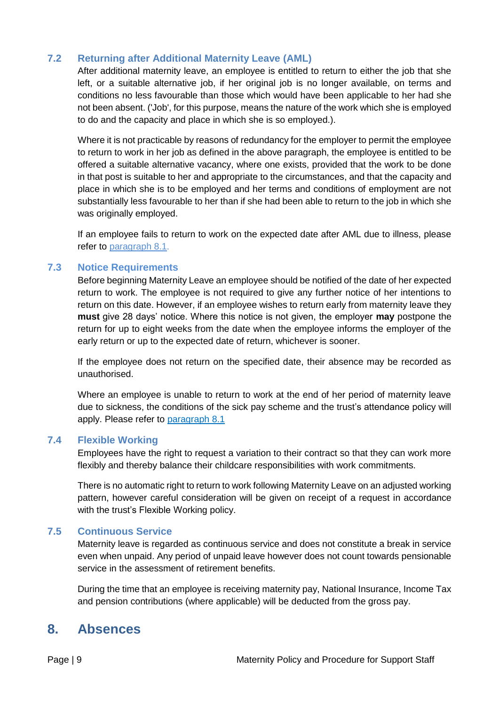#### <span id="page-8-0"></span>**7.2 Returning after Additional Maternity Leave (AML)**

After additional maternity leave, an employee is entitled to return to either the job that she left, or a suitable alternative job, if her original job is no longer available, on terms and conditions no less favourable than those which would have been applicable to her had she not been absent. ('Job', for this purpose, means the nature of the work which she is employed to do and the capacity and place in which she is so employed.).

Where it is not practicable by reasons of redundancy for the employer to permit the employee to return to work in her job as defined in the above paragraph, the employee is entitled to be offered a suitable alternative vacancy, where one exists, provided that the work to be done in that post is suitable to her and appropriate to the circumstances, and that the capacity and place in which she is to be employed and her terms and conditions of employment are not substantially less favourable to her than if she had been able to return to the job in which she was originally employed.

If an employee fails to return to work on the expected date after AML due to illness, please refer to [paragraph](#page-9-0) 8.1.

#### <span id="page-8-1"></span>**7.3 Notice Requirements**

Before beginning Maternity Leave an employee should be notified of the date of her expected return to work. The employee is not required to give any further notice of her intentions to return on this date. However, if an employee wishes to return early from maternity leave they **must** give 28 days' notice. Where this notice is not given, the employer **may** postpone the return for up to eight weeks from the date when the employee informs the employer of the early return or up to the expected date of return, whichever is sooner.

If the employee does not return on the specified date, their absence may be recorded as unauthorised.

Where an employee is unable to return to work at the end of her period of maternity leave due to sickness, the conditions of the sick pay scheme and the trust's attendance policy will apply. Please refer to [paragraph 8.](#page-9-0)1

#### <span id="page-8-2"></span>**7.4 Flexible Working**

Employees have the right to request a variation to their contract so that they can work more flexibly and thereby balance their childcare responsibilities with work commitments.

There is no automatic right to return to work following Maternity Leave on an adjusted working pattern, however careful consideration will be given on receipt of a request in accordance with the trust's Flexible Working policy.

#### <span id="page-8-3"></span>**7.5 Continuous Service**

Maternity leave is regarded as continuous service and does not constitute a break in service even when unpaid. Any period of unpaid leave however does not count towards pensionable service in the assessment of retirement benefits.

<span id="page-8-4"></span>During the time that an employee is receiving maternity pay, National Insurance, Income Tax and pension contributions (where applicable) will be deducted from the gross pay.

## **8. Absences**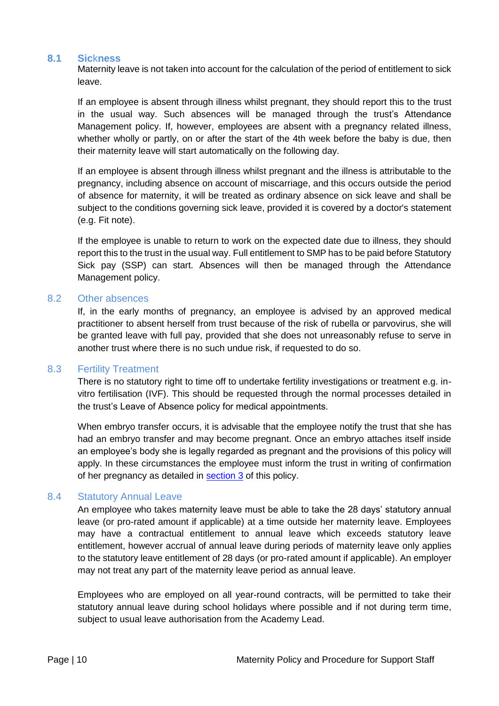#### <span id="page-9-0"></span>**8.1 Sic**k**ness**

Maternity leave is not taken into account for the calculation of the period of entitlement to sick leave.

If an employee is absent through illness whilst pregnant, they should report this to the trust in the usual way. Such absences will be managed through the trust's Attendance Management policy. If, however, employees are absent with a pregnancy related illness, whether wholly or partly, on or after the start of the 4th week before the baby is due, then their maternity leave will start automatically on the following day.

If an employee is absent through illness whilst pregnant and the illness is attributable to the pregnancy, including absence on account of miscarriage, and this occurs outside the period of absence for maternity, it will be treated as ordinary absence on sick leave and shall be subject to the conditions governing sick leave, provided it is covered by a doctor's statement (e.g. Fit note).

If the employee is unable to return to work on the expected date due to illness, they should report this to the trust in the usual way. Full entitlement to SMP has to be paid before Statutory Sick pay (SSP) can start. Absences will then be managed through the Attendance Management policy.

#### <span id="page-9-1"></span>8.2 Other absences

If, in the early months of pregnancy, an employee is advised by an approved medical practitioner to absent herself from trust because of the risk of rubella or parvovirus, she will be granted leave with full pay, provided that she does not unreasonably refuse to serve in another trust where there is no such undue risk, if requested to do so.

#### <span id="page-9-2"></span>8.3 Fertility Treatment

There is no statutory right to time off to undertake fertility investigations or treatment e.g. invitro fertilisation (IVF). This should be requested through the normal processes detailed in the trust's Leave of Absence policy for medical appointments.

When embryo transfer occurs, it is advisable that the employee notify the trust that she has had an embryo transfer and may become pregnant. Once an embryo attaches itself inside an employee's body she is legally regarded as pregnant and the provisions of this policy will apply. In these circumstances the employee must inform the trust in writing of confirmation of her pregnancy as detailed in [section 3](#page-3-5) of this policy.

#### <span id="page-9-3"></span>8.4 Statutory Annual Leave

An employee who takes maternity leave must be able to take the 28 days' statutory annual leave (or pro-rated amount if applicable) at a time outside her maternity leave. Employees may have a contractual entitlement to annual leave which exceeds statutory leave entitlement, however accrual of annual leave during periods of maternity leave only applies to the statutory leave entitlement of 28 days (or pro-rated amount if applicable). An employer may not treat any part of the maternity leave period as annual leave.

Employees who are employed on all year-round contracts, will be permitted to take their statutory annual leave during school holidays where possible and if not during term time, subject to usual leave authorisation from the Academy Lead.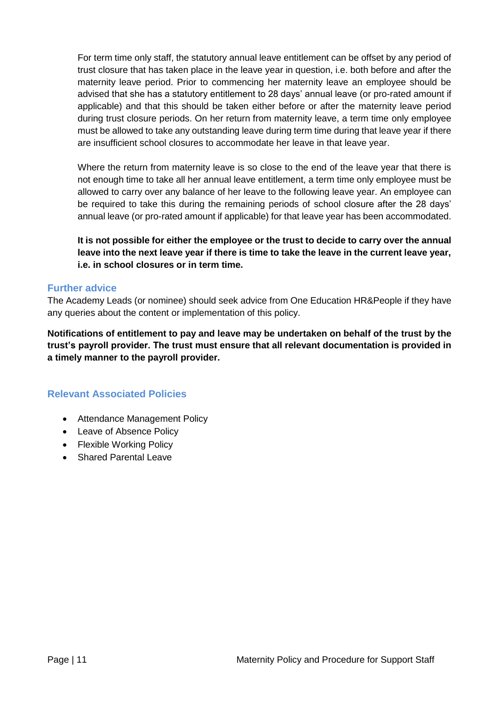For term time only staff, the statutory annual leave entitlement can be offset by any period of trust closure that has taken place in the leave year in question, i.e. both before and after the maternity leave period. Prior to commencing her maternity leave an employee should be advised that she has a statutory entitlement to 28 days' annual leave (or pro-rated amount if applicable) and that this should be taken either before or after the maternity leave period during trust closure periods. On her return from maternity leave, a term time only employee must be allowed to take any outstanding leave during term time during that leave year if there are insufficient school closures to accommodate her leave in that leave year.

Where the return from maternity leave is so close to the end of the leave year that there is not enough time to take all her annual leave entitlement, a term time only employee must be allowed to carry over any balance of her leave to the following leave year. An employee can be required to take this during the remaining periods of school closure after the 28 days' annual leave (or pro-rated amount if applicable) for that leave year has been accommodated.

**It is not possible for either the employee or the trust to decide to carry over the annual leave into the next leave year if there is time to take the leave in the current leave year, i.e. in school closures or in term time.** 

#### <span id="page-10-0"></span>**Further advice**

The Academy Leads (or nominee) should seek advice from One Education HR&People if they have any queries about the content or implementation of this policy.

**Notifications of entitlement to pay and leave may be undertaken on behalf of the trust by the trust's payroll provider. The trust must ensure that all relevant documentation is provided in a timely manner to the payroll provider.** 

#### <span id="page-10-1"></span>**Relevant Associated Policies**

- Attendance Management Policy
- Leave of Absence Policy
- Flexible Working Policy
- Shared Parental Leave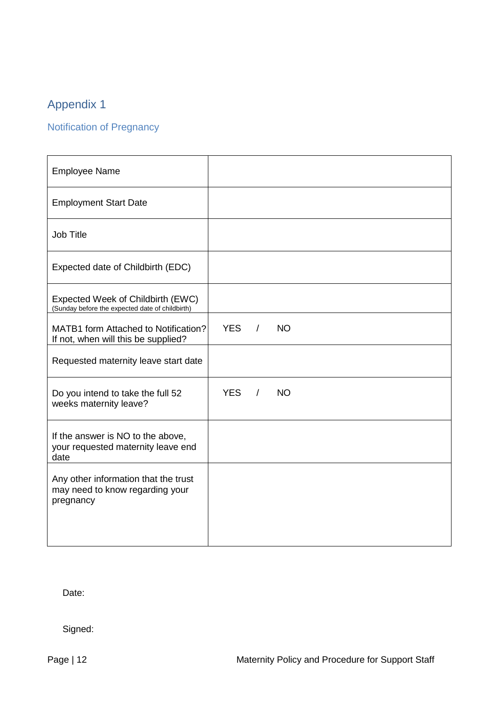# <span id="page-11-0"></span>Appendix 1

# <span id="page-11-1"></span>Notification of Pregnancy

| <b>Employee Name</b>                                                                 |            |            |           |  |  |
|--------------------------------------------------------------------------------------|------------|------------|-----------|--|--|
| <b>Employment Start Date</b>                                                         |            |            |           |  |  |
| <b>Job Title</b>                                                                     |            |            |           |  |  |
| Expected date of Childbirth (EDC)                                                    |            |            |           |  |  |
| Expected Week of Childbirth (EWC)<br>(Sunday before the expected date of childbirth) |            |            |           |  |  |
| MATB1 form Attached to Notification?<br>If not, when will this be supplied?          | YES /      |            | <b>NO</b> |  |  |
| Requested maternity leave start date                                                 |            |            |           |  |  |
| Do you intend to take the full 52<br>weeks maternity leave?                          | <b>YES</b> | $\sqrt{2}$ | <b>NO</b> |  |  |
| If the answer is NO to the above,<br>your requested maternity leave end<br>date      |            |            |           |  |  |
| Any other information that the trust<br>may need to know regarding your<br>pregnancy |            |            |           |  |  |
|                                                                                      |            |            |           |  |  |

Date:

Signed: